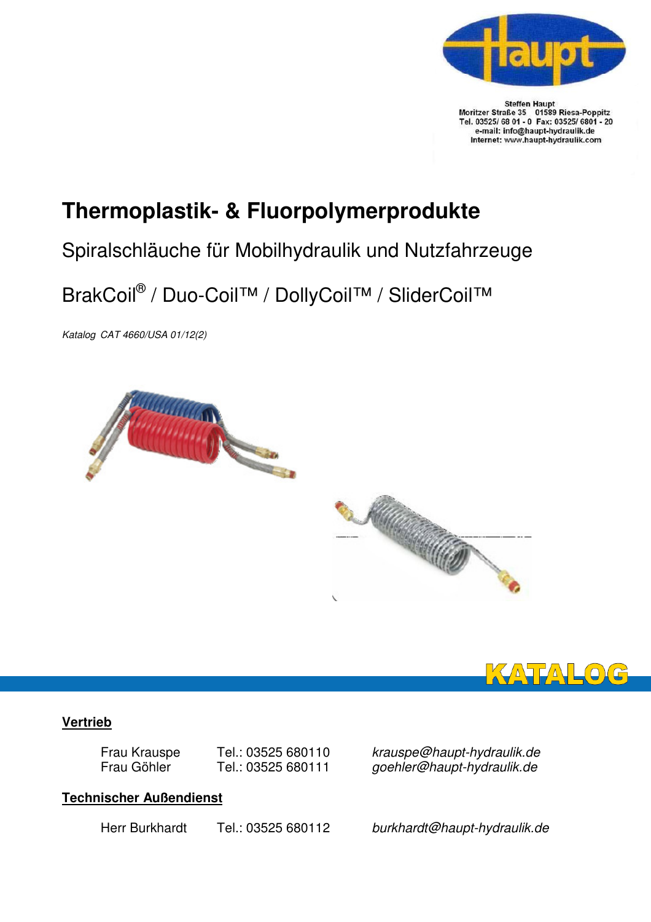

Steffen Haupt<br>Moritzer Straße 35 01589 Riesa-Poppitz<br>Tel. 03525/ 68 01 - 0 Fax: 03525/ 6801 - 20 e-mail: info@haupt-hydraulik.de Internet: www.haupt-hydraulik.com

## **Thermoplastik- & Fluorpolymerprodukte**

## Spiralschläuche für Mobilhydraulik und Nutzfahrzeuge

## BrakCoil® / Duo-Coil™ / DollyCoil™ / SliderCoil™

Katalog CAT 4660/USA 01/12(2)





#### **Vertrieb**

Frau Krauspe Tel.: 03525 680110 krauspe@haupt-hydraulik.de<br>Frau Göhler Tel.: 03525 680111 aoehler@haupt-hydraulik.de goehler@haupt-hydraulik.de

### **Technischer Außendienst**

Herr Burkhardt Tel.: 03525 680112 burkhardt@haupt-hydraulik.de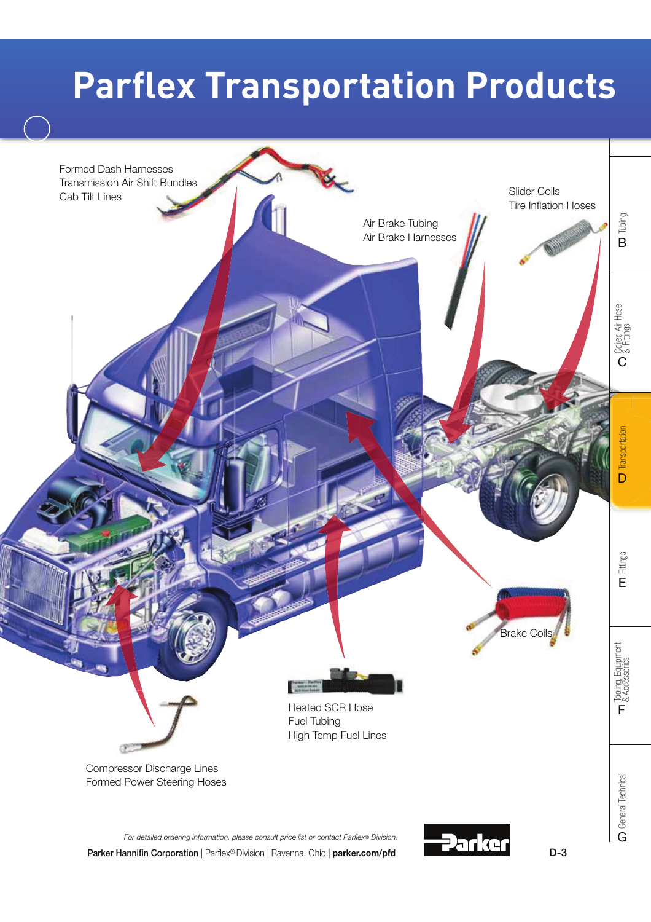# **Parflex Transportation Products**

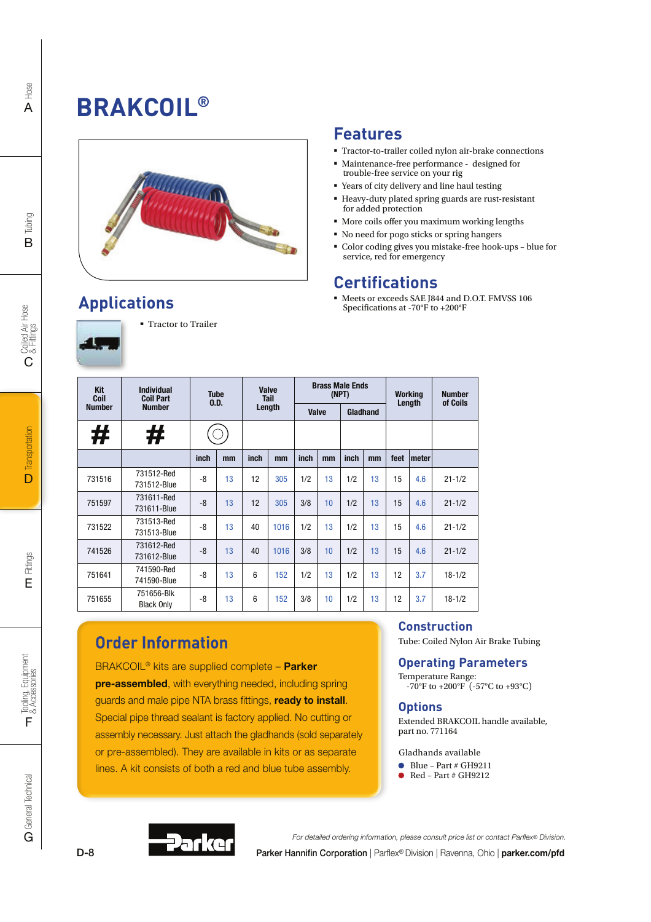## **BRAKCOIL®**



### **Applications**



### Tractor to Trailer

### **Features**

- Tractor-to-trailer coiled nylon air-brake connections
- Maintenance-free performance designed for trouble-free service on your rig
- Years of city delivery and line haul testing
- Heavy-duty plated spring guards are rust-resistant for added protection
- More coils offer you maximum working lengths
- No need for pogo sticks or spring hangers
- Color coding gives you mistake-free hook-ups blue for service, red for emergency

### **Certifications**

 Meets or exceeds SAE J844 and D.O.T. FMVSS 106 Specifications at -70°F to +200°F

| <b>Kit</b><br>Coil | <b>Individual</b><br><b>Coil Part</b> | <b>Tube</b><br>0.D. |    | Valve<br><b>Tail</b><br>Length |      | <b>Brass Male Ends</b><br>(NPT) |    |          |    | <b>Working</b><br>Length |       | <b>Number</b><br>of Coils |
|--------------------|---------------------------------------|---------------------|----|--------------------------------|------|---------------------------------|----|----------|----|--------------------------|-------|---------------------------|
| <b>Number</b>      | <b>Number</b>                         |                     |    |                                |      | Valve                           |    | Gladhand |    |                          |       |                           |
| #                  | #                                     |                     |    |                                |      |                                 |    |          |    |                          |       |                           |
|                    |                                       | inch                | mm | inch                           | mm   | inch                            | mm | inch     | mm | feet                     | meter |                           |
| 731516             | 731512-Red<br>731512-Blue             | -8                  | 13 | 12                             | 305  | 1/2                             | 13 | 1/2      | 13 | 15                       | 4.6   | $21 - 1/2$                |
| 751597             | 731611-Red<br>731611-Blue             | $-8$                | 13 | 12                             | 305  | 3/8                             | 10 | 1/2      | 13 | 15                       | 4.6   | $21 - 1/2$                |
| 731522             | 731513-Red<br>731513-Blue             | -8                  | 13 | 40                             | 1016 | 1/2                             | 13 | 1/2      | 13 | 15                       | 4.6   | $21 - 1/2$                |
| 741526             | 731612-Red<br>731612-Blue             | $-8$                | 13 | 40                             | 1016 | 3/8                             | 10 | 1/2      | 13 | 15                       | 4.6   | $21 - 1/2$                |
| 751641             | 741590-Red<br>741590-Blue             | -8                  | 13 | $6\overline{6}$                | 152  | 1/2                             | 13 | 1/2      | 13 | 12                       | 3.7   | $18 - 1/2$                |
| 751655             | 751656-Blk<br><b>Black Only</b>       | -8                  | 13 | $6\phantom{1}6$                | 152  | 3/8                             | 10 | 1/2      | 13 | 12                       | 3.7   | $18 - 1/2$                |

### **Order Information**

BRAKCOIL<sup>®</sup> kits are supplied complete - Parker pre-assembled, with everything needed, including spring guards and male pipe NTA brass fittings, ready to install. Special pipe thread sealant is factory applied. No cutting or assembly necessary. Just attach the gladhands (sold separately or pre-assembled). They are available in kits or as separate lines. A kit consists of both a red and blue tube assembly.

#### **Construction**

Tube: Coiled Nylon Air Brake Tubing

#### **Operating Parameters**

Temperature Range:  $-70^{\circ}$ F to  $+200^{\circ}$ F ( $-57^{\circ}$ C to  $+93^{\circ}$ C)

#### **Options**

Extended BRAKCOIL handle available, part no. 771164

#### Gladhands available

- $\bullet$  Blue Part # GH9211
- Red Part # GH9212

Hose A



Parker Hannifin Corporation | Parflex® Division | Ravenna, Ohio | parker.com/pfd For detailed ordering information, please consult price list or contact Parflex® Division.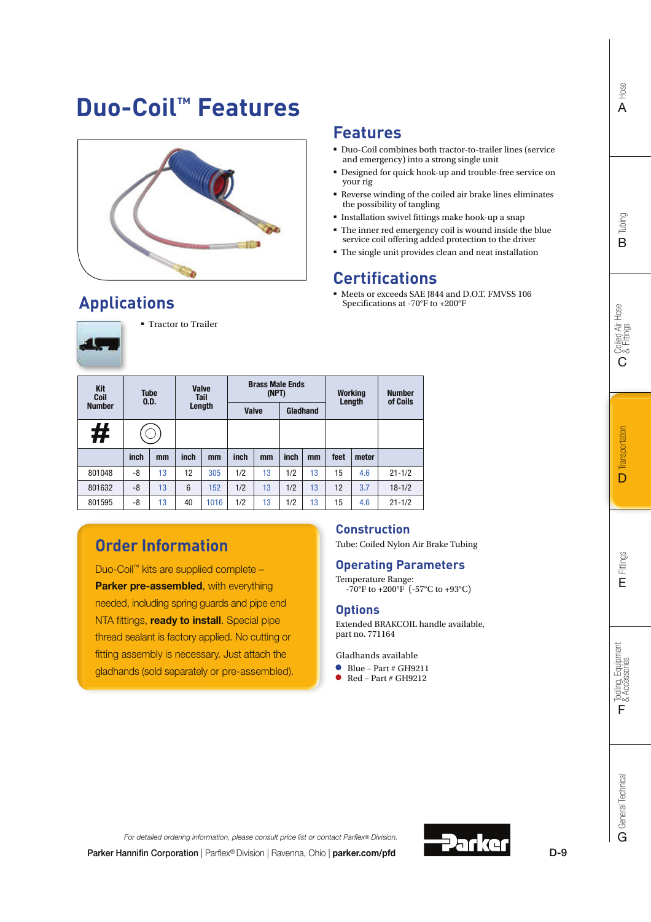General Technical **C** General Technical



### **Applications**



**Tractor to Trailer** 

| - | i |
|---|---|
|   |   |

| Kit<br>Coil<br><b>Number</b> | <b>Tube</b><br>0.D. |    |      |      |      |    |      |    |      |       |            | Valve<br>Tail<br>Length |  | <b>Brass Male Ends</b><br>(NPT)<br><b>Valve</b> | Gladhand |  |  | <b>Working</b><br>Length | <b>Number</b><br>of Coils |
|------------------------------|---------------------|----|------|------|------|----|------|----|------|-------|------------|-------------------------|--|-------------------------------------------------|----------|--|--|--------------------------|---------------------------|
| #                            |                     |    |      |      |      |    |      |    |      |       |            |                         |  |                                                 |          |  |  |                          |                           |
|                              | inch                | mm | inch | mm   | inch | mm | inch | mm | feet | meter |            |                         |  |                                                 |          |  |  |                          |                           |
| 801048                       | -8                  | 13 | 12   | 305  | 1/2  | 13 | 1/2  | 13 | 15   | 4.6   | $21 - 1/2$ |                         |  |                                                 |          |  |  |                          |                           |
| 801632                       | -8                  | 13 | 6    | 152  | 1/2  | 13 | 1/2  | 13 | 12   | 3.7   | $18 - 1/2$ |                         |  |                                                 |          |  |  |                          |                           |
| 801595                       | -8                  | 13 | 40   | 1016 | 1/2  | 13 | 1/2  | 13 | 15   | 4.6   | $21 - 1/2$ |                         |  |                                                 |          |  |  |                          |                           |

### **Order Information**

Duo-Coil™ kits are supplied complete – **Parker pre-assembled, with everything** needed, including spring guards and pipe end NTA fittings, **ready to install**. Special pipe thread sealant is factory applied. No cutting or fitting assembly is necessary. Just attach the gladhands (sold separately or pre-assembled).

### **Construction**

**Features**

your rig

the possibility of tangling

**Certifications**

Specifications at -70°F to +200°F

Duo-Coil combines both tractor-to-trailer lines (service

Designed for quick hook-up and trouble-free service on

 $\textcolor{red}{\bullet}$  Reverse winding of the coiled air brake lines eliminates

and emergency) into a strong single unit

**Installation swivel fittings make hook-up a snap**  $\bullet\,$  The inner red emergency coil is wound inside the blue service coil offering added protection to the driver The single unit provides clean and neat installation

 $\bullet$  Meets or exceeds SAE J844 and D.O.T. FMVSS 106

Tube: Coiled Nylon Air Brake Tubing

### **Operating Parameters**

Temperature Range: -70°F to +200°F (-57°C to +93°C)

#### **Options**

Extended BRAKCOIL handle available, part no. 771164

Gladhands available

- $\bullet$  Blue Part # GH9211
- Red Part # GH9212



Parker Hannifin Corporation | Parflex® Division | Ravenna, Ohio | parker.com/pfd For detailed ordering information, please consult price list or contact Parflex® Division.

D-9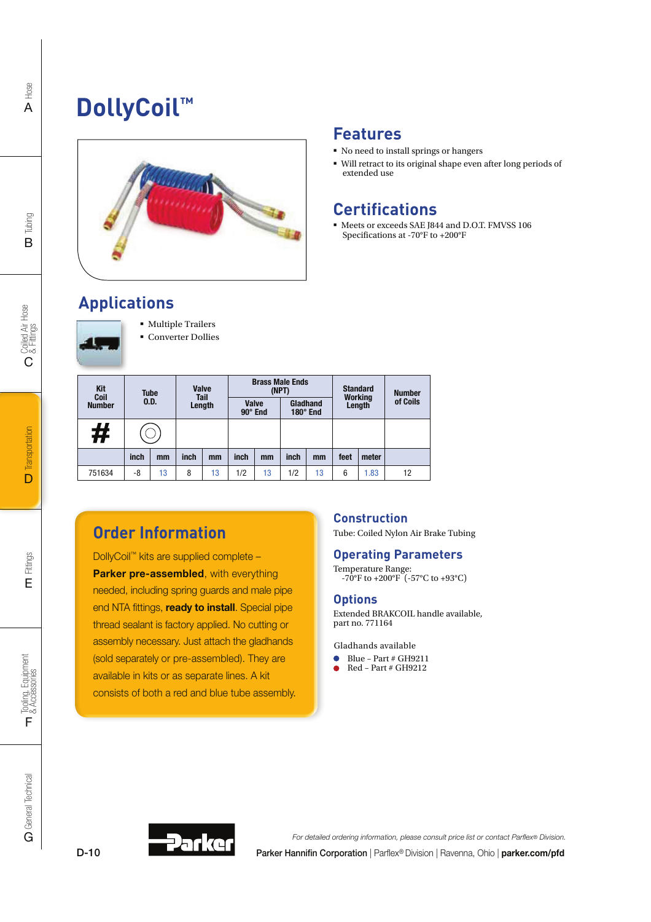## **DollyCoil™**



### **Features**

- No need to install springs or hangers
- Will retract to its original shape even after long periods of extended use

### **Certifications**

 Meets or exceeds SAE J844 and D.O.T. FMVSS 106 Specifications at -70°F to +200°F

### **Applications**



**Multiple Trailers Converter Dollies** 

| Kit<br>Coil   | <b>Tube</b><br>0.D. |    | <b>Valve</b><br><b>Tail</b><br>Length |    |                                |    | <b>Brass Male Ends</b><br>(NPT) | <b>Standard</b><br><b>Working</b> |        | <b>Number</b> |          |  |  |  |  |  |  |  |  |  |  |
|---------------|---------------------|----|---------------------------------------|----|--------------------------------|----|---------------------------------|-----------------------------------|--------|---------------|----------|--|--|--|--|--|--|--|--|--|--|
| <b>Number</b> |                     |    |                                       |    | <b>Valve</b><br>$90^\circ$ End |    | Gladhand<br>$180^\circ$ End     |                                   | Length |               | of Coils |  |  |  |  |  |  |  |  |  |  |
| #             |                     |    |                                       |    |                                |    |                                 |                                   |        |               |          |  |  |  |  |  |  |  |  |  |  |
|               | inch                | mm | inch                                  | mm | inch                           | mm | inch                            | mm                                | feet   | meter         |          |  |  |  |  |  |  |  |  |  |  |
| 751634        | -8                  | 13 | 8                                     | 13 | 1/2                            | 13 | 1/2                             | 13                                | 6      | .83           | 12       |  |  |  |  |  |  |  |  |  |  |

### **Order Information**

DollyCoil™ kits are supplied complete – Parker pre-assembled, with everything needed, including spring guards and male pipe end NTA fittings, ready to install. Special pipe thread sealant is factory applied. No cutting or assembly necessary. Just attach the gladhands (sold separately or pre-assembled). They are available in kits or as separate lines. A kit consists of both a red and blue tube assembly.

### **Construction**

Tube: Coiled Nylon Air Brake Tubing

#### **Operating Parameters**

Temperature Range:  $-70^{\circ}$ F to  $+200^{\circ}$ F ( $-57^{\circ}$ C to  $+93^{\circ}$ C)

#### **Options**

Extended BRAKCOIL handle available, part no. 771164

Gladhands available

- $\bullet$  Blue Part # GH9211
- $\bullet$  Red Part # GH9212



Parker Hannifin Corporation | Parflex® Division | Ravenna, Ohio | parker.com/pfd For detailed ordering information, please consult price list or contact Parflex® Division.

C

Tubing B

D-10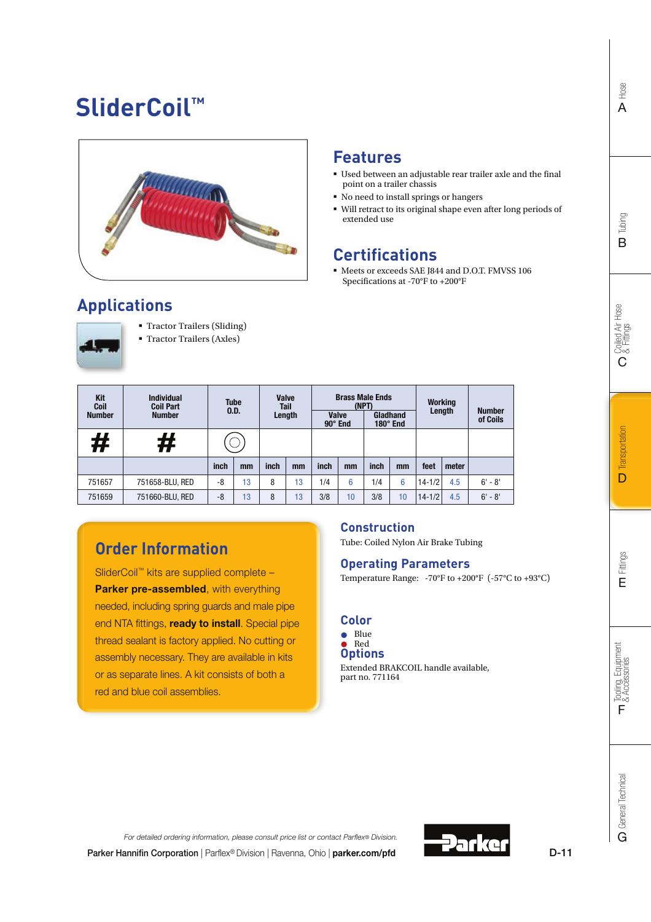## **SliderCoil™**



### **Features**

- Used between an adjustable rear trailer axle and the final point on a trailer chassis
- No need to install springs or hangers
- Will retract to its original shape even after long periods of extended use

### **Certifications**

 Meets or exceeds SAE J844 and D.O.T. FMVSS 106 Specifications at -70°F to +200°F

### **Applications**



 Tractor Trailers (Sliding) Tractor Trailers (Axles)

| Tractor Trailers (Axie |  |
|------------------------|--|
|                        |  |

| Kit<br>Coil<br><b>Number</b> | <b>Individual</b><br><b>Coil Part</b><br><b>Number</b> | <b>Tube</b><br>0.D. |    | <b>Valve</b><br><b>Tail</b><br>Length |    | <b>Brass Male Ends</b><br>(NPT)<br><b>Valve</b><br>$90^\circ$ End |    | Gladhand<br>$180^\circ$ End |    | <b>Working</b><br>Length |       | <b>Number</b><br>of Coils |
|------------------------------|--------------------------------------------------------|---------------------|----|---------------------------------------|----|-------------------------------------------------------------------|----|-----------------------------|----|--------------------------|-------|---------------------------|
| #                            | #                                                      |                     |    |                                       |    |                                                                   |    |                             |    |                          |       |                           |
|                              |                                                        | inch                | mm | inch                                  | mm | inch                                                              | mm | inch                        | mm | feet                     | meter |                           |
| 751657                       | 751658-BLU, RED                                        | -8                  | 13 | 8                                     | 13 | 1/4                                                               | 6  | 1/4                         | 6  | $14 - 1/2$               | 4.5   | $6' - 8'$                 |
| 751659                       | 751660-BLU, RED                                        | -8                  | 13 | 8                                     | 13 | 3/8                                                               | 10 | 3/8                         | 10 | $14 - 1/2$               | 4.5   | $6' - 8'$                 |

### **Order Information**

SliderCoil™ kits are supplied complete – Parker pre-assembled, with everything needed, including spring guards and male pipe end NTA fittings, **ready to install**. Special pipe thread sealant is factory applied. No cutting or assembly necessary. They are available in kits or as separate lines. A kit consists of both a red and blue coil assemblies.

### **Construction**

Tube: Coiled Nylon Air Brake Tubing

#### **Operating Parameters**

Temperature Range: -70°F to +200°F (-57°C to +93°C)

### **Color**

#### **Options**  $\bullet$  Blue Red

Extended BRAKCOIL handle available, part no. 771164

Hose

Tooling, Equipment<br>& Accessories

F

Parker Hannifin Corporation | Parflex® Division | Ravenna, Ohio | parker.com/pfd For detailed ordering information, please consult price list or contact Parflex® Division.



D-11